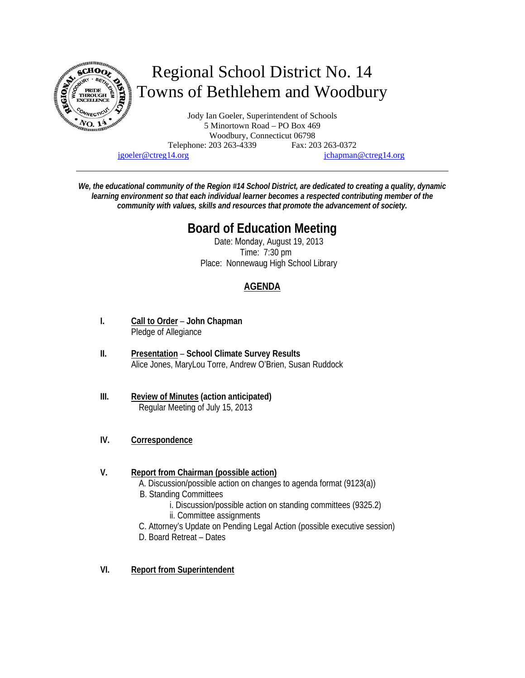

# Regional School District No. 14 Towns of Bethlehem and Woodbury

Jody Ian Goeler, Superintendent of Schools 5 Minortown Road – PO Box 469 Woodbury, Connecticut 06798 Telephone: 203 263-4339 Fax: 203 263-0372 jgoeler@ctreg14.org jchapman@ctreg14.org

*We, the educational community of the Region #14 School District, are dedicated to creating a quality, dynamic learning environment so that each individual learner becomes a respected contributing member of the community with values, skills and resources that promote the advancement of society.* 

## **Board of Education Meeting**

Date: Monday, August 19, 2013 Time: 7:30 pm Place: Nonnewaug High School Library

### **AGENDA**

- **I. Call to Order John Chapman** Pledge of Allegiance
- **II. Presentation School Climate Survey Results** Alice Jones, MaryLou Torre, Andrew O'Brien, Susan Ruddock
- **III. Review of Minutes (action anticipated)** Regular Meeting of July 15, 2013
- **IV. Correspondence**

#### **V. Report from Chairman (possible action)**

A. Discussion/possible action on changes to agenda format (9123(a))

- B. Standing Committees
	- i. Discussion/possible action on standing committees (9325.2)
		- ii. Committee assignments
- C. Attorney's Update on Pending Legal Action (possible executive session)
- D. Board Retreat Dates
- **VI. Report from Superintendent**